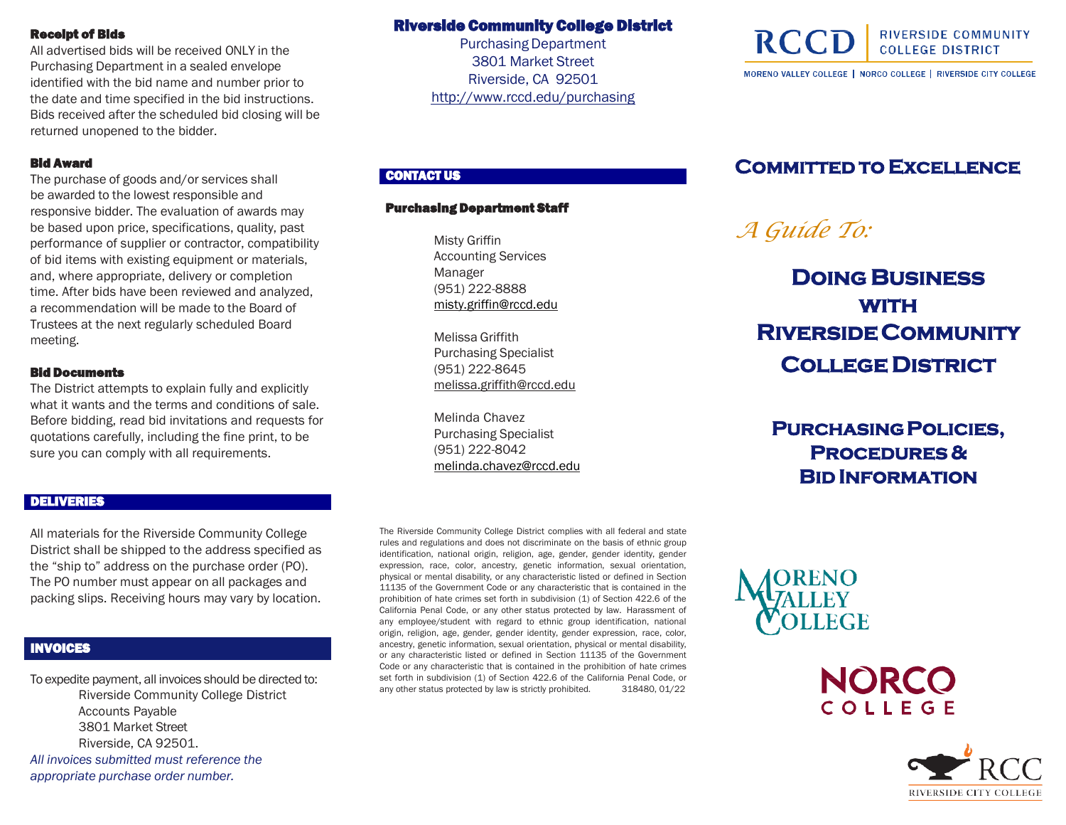#### Receipt of Bids

All advertised bids will be received ONLY in the Purchasing Department in a sealed envelope identified with the bid name and number prior to the date and time specified in the bid instructions. Bids received after the scheduled bid closing will be returned unopened to the bidder.

#### Bid Award

The purchase of goods and/or services shall be awarded to the lowest responsible and responsive bidder. The evaluation of awards may be based upon price, specifications, quality, past performance of supplier or contractor, compatibility of bid items with existing equipment or materials, and, where appropriate, delivery or completion time. After bids have been reviewed and analyzed, a recommendation will be made to the Board of Trustees at the next regularly scheduled Board meeting.

#### Bid Documents

The District attempts to explain fully and explicitly what it wants and the terms and conditions of sale. Before bidding, read bid invitations and requests for quotations carefully, including the fine print, to be sure you can comply with all requirements.

# Riverside Community College District

**Purchasing Department** 3801 Market Street Riverside, CA 92501 <http://www.rccd.edu/purchasing>

# CONTACT US

#### Purchasing Department Staff

Misty Griffin Accounting Services Manager (951) 222-8888 [misty.griffin@rccd.edu](mailto:misty.griffin@rccd.edu)

Melissa Griffith Purchasing Specialist (951) 222-8645 [melissa.griffith@rccd.edu](mailto:melissa.griffith@rccd.edu)

Melinda Chavez Purchasing Specialist (951) 222-8042 [melinda.chavez@rccd.edu](mailto:melinda.chavez@rccd.edu)

# **Committed to Excellence**

MORENO VALLEY COLLEGE | NORCO COLLEGE | RIVERSIDE CITY COLLEGE

**RIVERSIDE COMMUNITY** 

**COLLEGE DISTRICT** 

# *A Guide To:*

**RCC** 

**Doing Business with Riverside Community College District**

 **Purchasing Policies, Procedures & Bid Information**

#### DELIVERIES

All materials for the Riverside Community College District shall be shipped to the address specified as the "ship to" address on the purchase order (PO). The PO number must appear on all packages and packing slips. Receiving hours may vary by location.

# INVOICES

To expedite payment, all invoices should be directed to: Riverside Community College District Accounts Payable 3801 Market Street Riverside, CA 92501. *All invoices submitted must reference the appropriate purchase order number.*

The Riverside Community College District complies with all federal and state rules and regulations and does not discriminate on the basis of ethnic group identification, national origin, religion, age, gender, gender identity, gender expression, race, color, ancestry, genetic information, sexual orientation, physical or mental disability, or any characteristic listed or defined in Section 11135 of the Government Code or any characteristic that is contained in the prohibition of hate crimes set forth in subdivision (1) of Section 422.6 of the California Penal Code, or any other status protected by law. Harassment of any employee/student with regard to ethnic group identification, national origin, religion, age, gender, gender identity, gender expression, race, color, ancestry, genetic information, sexual orientation, physical or mental disability, or any characteristic listed or defined in Section 11135 of the Government Code or any characteristic that is contained in the prohibition of hate crimes set forth in subdivision (1) of Section 422.6 of the California Penal Code, or any other status protected by law is strictly prohibited. 318480, 01/22



NORC COLLEGE